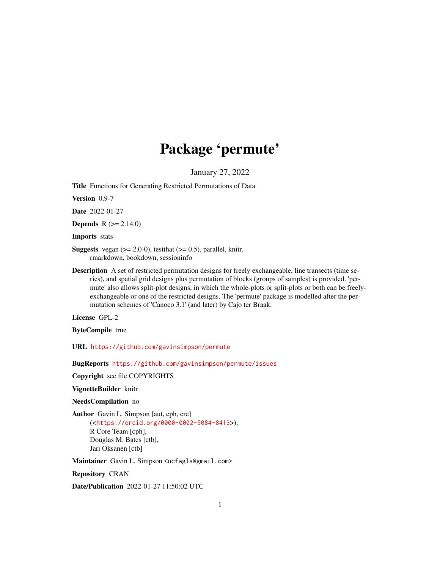# Package 'permute'

January 27, 2022

<span id="page-0-0"></span>Title Functions for Generating Restricted Permutations of Data

Version 0.9-7

Date 2022-01-27

**Depends** R  $(>= 2.14.0)$ 

Imports stats

**Suggests** vegan  $(>= 2.0-0)$ , test that  $(>= 0.5)$ , parallel, knitr, rmarkdown, bookdown, sessioninfo

Description A set of restricted permutation designs for freely exchangeable, line transects (time series), and spatial grid designs plus permutation of blocks (groups of samples) is provided. 'permute' also allows split-plot designs, in which the whole-plots or split-plots or both can be freelyexchangeable or one of the restricted designs. The 'permute' package is modelled after the permutation schemes of 'Canoco 3.1' (and later) by Cajo ter Braak.

License GPL-2

ByteCompile true

URL <https://github.com/gavinsimpson/permute>

BugReports <https://github.com/gavinsimpson/permute/issues>

Copyright see file COPYRIGHTS

VignetteBuilder knitr

NeedsCompilation no

Author Gavin L. Simpson [aut, cph, cre] (<<https://orcid.org/0000-0002-9084-8413>>), R Core Team [cph], Douglas M. Bates [ctb], Jari Oksanen [ctb]

Maintainer Gavin L. Simpson <ucfagls@gmail.com>

Repository CRAN

Date/Publication 2022-01-27 11:50:02 UTC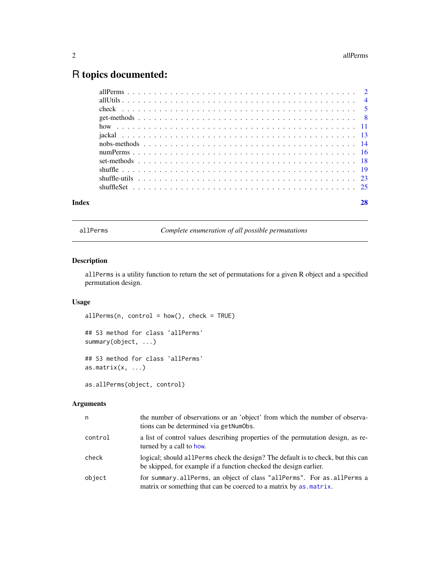# <span id="page-1-0"></span>R topics documented:

| Index | 28 |
|-------|----|
|       |    |
|       |    |
|       |    |
|       |    |
|       |    |
|       |    |
|       |    |
|       |    |
|       |    |
|       |    |
|       |    |
|       |    |

<span id="page-1-1"></span>allPerms *Complete enumeration of all possible permutations*

# Description

allPerms is a utility function to return the set of permutations for a given R object and a specified permutation design.

# Usage

 $allPerms(n, control = how(), check = TRUE)$ 

## S3 method for class 'allPerms' summary(object, ...) ## S3 method for class 'allPerms'

as.matrix $(x, \ldots)$ 

as.allPerms(object, control)

# Arguments

| n       | the number of observations or an 'object' from which the number of observa-<br>tions can be determined via getNumObs.                                  |
|---------|--------------------------------------------------------------------------------------------------------------------------------------------------------|
| control | a list of control values describing properties of the permutation design, as re-<br>turned by a call to how.                                           |
| check   | logical; should all Perms check the design? The default is to check, but this can<br>be skipped, for example if a function checked the design earlier. |
| object  | for summary.allPerms, an object of class "allPerms". For as.allPerms a<br>matrix or something that can be coerced to a matrix by as matrix.            |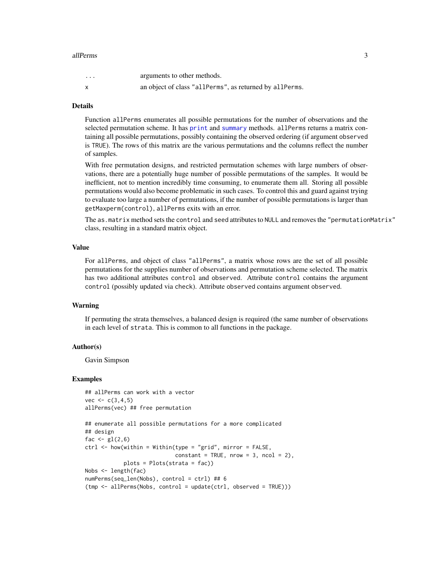# <span id="page-2-0"></span>allPerms 3

| $\cdots$ | arguments to other methods.                             |
|----------|---------------------------------------------------------|
|          | an object of class "allPerms", as returned by allPerms. |

# Details

Function allPerms enumerates all possible permutations for the number of observations and the selected permutation scheme. It has [print](#page-0-0) and [summary](#page-0-0) methods. allPerms returns a matrix containing all possible permutations, possibly containing the observed ordering (if argument observed is TRUE). The rows of this matrix are the various permutations and the columns reflect the number of samples.

With free permutation designs, and restricted permutation schemes with large numbers of observations, there are a potentially huge number of possible permutations of the samples. It would be inefficient, not to mention incredibly time consuming, to enumerate them all. Storing all possible permutations would also become problematic in such cases. To control this and guard against trying to evaluate too large a number of permutations, if the number of possible permutations is larger than getMaxperm(control), allPerms exits with an error.

The as.matrix method sets the control and seed attributes to NULL and removes the "permutationMatrix" class, resulting in a standard matrix object.

# Value

For allPerms, and object of class "allPerms", a matrix whose rows are the set of all possible permutations for the supplies number of observations and permutation scheme selected. The matrix has two additional attributes control and observed. Attribute control contains the argument control (possibly updated via check). Attribute observed contains argument observed.

#### Warning

If permuting the strata themselves, a balanced design is required (the same number of observations in each level of strata. This is common to all functions in the package.

# Author(s)

Gavin Simpson

# Examples

```
## allPerms can work with a vector
vec < - c(3, 4, 5)allPerms(vec) ## free permutation
```

```
## enumerate all possible permutations for a more complicated
## design
fac \leftarrow gl(2, 6)ctrl <- how(within = Within(type = "grid", mirror = FALSE,
                            constant = TRUE, nrow = 3, ncol = 2),
            plots = Plots(strata = fac))
Nobs <- length(fac)
numPerms(seq_len(Nobs), control = ctrl) ## 6
(tmp <- allPerms(Nobs, control = update(ctrl, observed = TRUE)))
```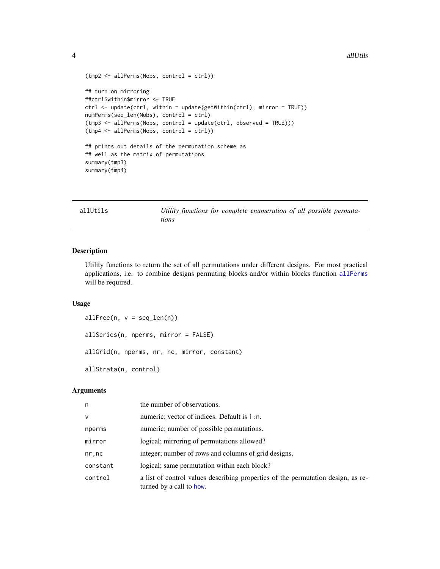#### <span id="page-3-0"></span>4 all the contract of the contract of the contract of the contract of the contract of the contract of the contract of the contract of the contract of the contract of the contract of the contract of the contract of the cont

```
(tmp2 <- allPerms(Nobs, control = ctrl))
## turn on mirroring
##ctrl$within$mirror <- TRUE
ctrl <- update(ctrl, within = update(getWithin(ctrl), mirror = TRUE))
numPerms(seq_len(Nobs), control = ctrl)
(tmp3 <- allPerms(Nobs, control = update(ctrl, observed = TRUE)))
(tmp4 <- allPerms(Nobs, control = ctrl))
## prints out details of the permutation scheme as
## well as the matrix of permutations
summary(tmp3)
summary(tmp4)
```
allUtils *Utility functions for complete enumeration of all possible permutations*

# Description

Utility functions to return the set of all permutations under different designs. For most practical applications, i.e. to combine designs permuting blocks and/or within blocks function [allPerms](#page-1-1) will be required.

#### Usage

```
allFree(n, v = seq\_len(n))allSeries(n, nperms, mirror = FALSE)
allGrid(n, nperms, nr, nc, mirror, constant)
allStrata(n, control)
```
# Arguments

| n            | the number of observations.                                                                                  |
|--------------|--------------------------------------------------------------------------------------------------------------|
| $\mathsf{V}$ | numeric; vector of indices. Default is 1:n.                                                                  |
| nperms       | numeric; number of possible permutations.                                                                    |
| mirror       | logical; mirroring of permutations allowed?                                                                  |
| nr, nc       | integer; number of rows and columns of grid designs.                                                         |
| constant     | logical; same permutation within each block?                                                                 |
| control      | a list of control values describing properties of the permutation design, as re-<br>turned by a call to how. |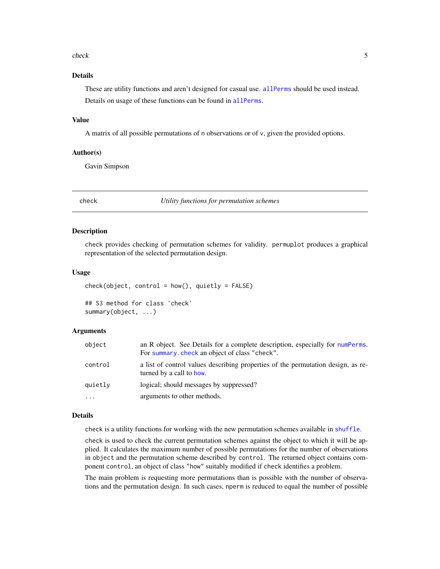#### <span id="page-4-0"></span>check 5

# Details

These are utility functions and aren't designed for casual use. [allPerms](#page-1-1) should be used instead. Details on usage of these functions can be found in [allPerms](#page-1-1).

# Value

A matrix of all possible permutations of n observations or of v, given the provided options.

# Author(s)

Gavin Simpson

<span id="page-4-2"></span>check *Utility functions for permutation schemes*

# <span id="page-4-1"></span>Description

check provides checking of permutation schemes for validity. permuplot produces a graphical representation of the selected permutation design.

# Usage

```
check(object, control = how(), quietly = FALSE)## S3 method for class 'check'
summary(object, ...)
```
# **Arguments**

| object    | an R object. See Details for a complete description, especially for numPerms.<br>For summary, check an object of class "check". |
|-----------|---------------------------------------------------------------------------------------------------------------------------------|
| control   | a list of control values describing properties of the permutation design, as re-<br>turned by a call to how.                    |
| quietly   | logical; should messages by suppressed?                                                                                         |
| $\ddotsc$ | arguments to other methods.                                                                                                     |

# Details

check is a utility functions for working with the new permutation schemes available in [shuffle](#page-18-1).

check is used to check the current permutation schemes against the object to which it will be applied. It calculates the maximum number of possible permutations for the number of observations in object and the permutation scheme described by control. The returned object contains component control, an object of class "how" suitably modified if check identifies a problem.

The main problem is requesting more permutations than is possible with the number of observations and the permutation design. In such cases, nperm is reduced to equal the number of possible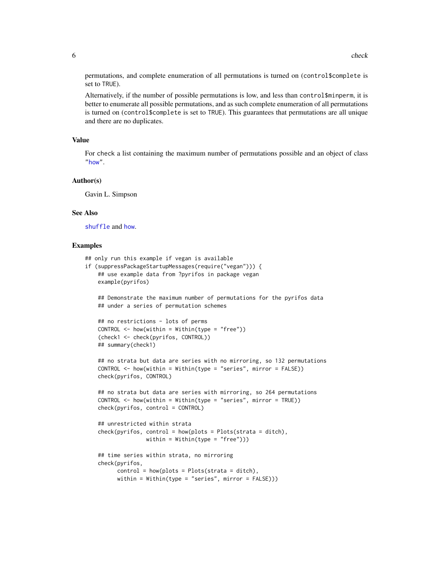<span id="page-5-0"></span>permutations, and complete enumeration of all permutations is turned on (control\$complete is set to TRUE).

Alternatively, if the number of possible permutations is low, and less than control\$minperm, it is better to enumerate all possible permutations, and as such complete enumeration of all permutations is turned on (control\$complete is set to TRUE). This guarantees that permutations are all unique and there are no duplicates.

# Value

For check a list containing the maximum number of permutations possible and an object of class ["how"](#page-10-1).

# Author(s)

Gavin L. Simpson

#### See Also

[shuffle](#page-18-1) and [how](#page-10-1).

# Examples

```
## only run this example if vegan is available
if (suppressPackageStartupMessages(require("vegan"))) {
   ## use example data from ?pyrifos in package vegan
   example(pyrifos)
```
## Demonstrate the maximum number of permutations for the pyrifos data ## under a series of permutation schemes

```
## no restrictions - lots of perms
CONTROL < - \hbox{how}(within = Within(type = "free"))(check1 <- check(pyrifos, CONTROL))
## summary(check1)
```

```
## no strata but data are series with no mirroring, so 132 permutations
CONTROL <- how(within = Within(type = "series", mirror = FALSE))
check(pyrifos, CONTROL)
```

```
## no strata but data are series with mirroring, so 264 permutations
CONTROL < - \hbox{how} (within = Within (type = "series", mirror = TRUE))check(pyrifos, control = CONTROL)
```

```
## unrestricted within strata
check(pyrifos, control = how(plots = Plots(strata = ditch),
              within = Within(type = "free")))
```

```
## time series within strata, no mirroring
check(pyrifos,
     control = how(plots = Plots(strata = ditch),
     within = Within(type = "series", mirror = FALSE)))
```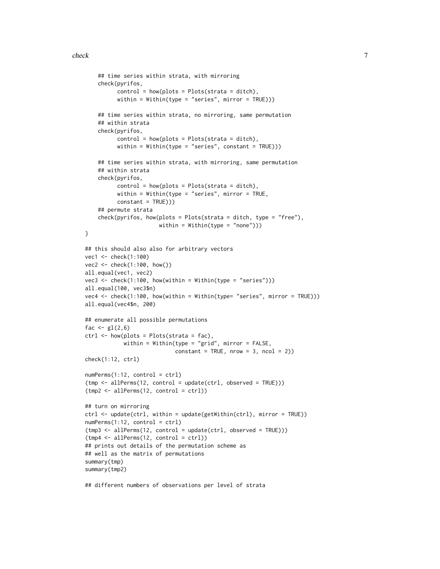#### check 7

```
## time series within strata, with mirroring
    check(pyrifos,
          control = how(plots = Plots(strata = ditch),
          within = Within(type = "series", mirror = TRUE))
    ## time series within strata, no mirroring, same permutation
    ## within strata
    check(pyrifos,
          control = how(plots = Plots(strata = dict),within = Within(type = "series", constant = TRUE))
    ## time series within strata, with mirroring, same permutation
    ## within strata
    check(pyrifos,
          control = how(plots = Plots(strata = ditch),within = Within(type = "series", mirror = TRUE,
          constant = TRUE)))
    ## permute strata
    check(pyrifos, how(plots = Plots(strata = ditch, type = "free"),within = Within(type = "none"))}
## this should also also for arbitrary vectors
vec1 <- check(1:100)
vec2 <- check(1:100, how())
all.equal(vec1, vec2)
vec3 \leq check(1:100, how(within = Within(type = "series")))
all.equal(100, vec3$n)
vec4 <- check(1:100, how(within = Within(type= "series", mirror = TRUE)))
all.equal(vec4$n, 200)
## enumerate all possible permutations
fac \leftarrow gl(2, 6)ctrl \leftarrow \text{how(plots = Plots(strata = fac)},
            within = Within(type = "grid", mirror = FALSE,
                            constant = TRUE, nrow = 3, ncol = 2)check(1:12, ctrl)
numPerms(1:12, control = ctrl)
(tmp <- allPerms(12, control = update(ctrl, observed = TRUE)))
(tmp2 <- allPerms(12, control = ctrl))
## turn on mirroring
ctrl <- update(ctrl, within = update(getWithin(ctrl), mirror = TRUE))
numPerms(1:12, control = ctrl)(tmp3 <- allPerms(12, control = update(ctrl, observed = TRUE)))
(tmp4 \leq allPerms(12, control = ctr1))## prints out details of the permutation scheme as
## well as the matrix of permutations
summary(tmp)
summary(tmp2)
```
## different numbers of observations per level of strata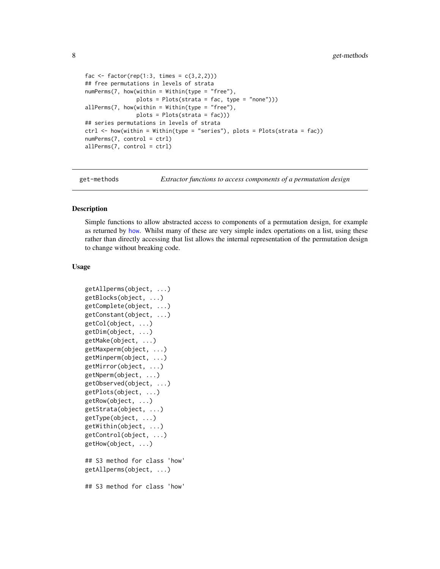```
fac <- factor(rep(1:3, times = c(3,2,2)))
## free permutations in levels of strata
numPerms(7, how(within = Within(type = "free"),
               plots = Plots(strata = fac, type = "none")))
allPerms(7, how (within = Within (type = "free"),plots = Plots(strata = fac)))
## series permutations in levels of strata
ctrl <- how(within = Within(type = "series"), plots = Plots(strata = fac))
numPerms(7, control = ctrl)
allPerms(7, control = ctrl)
```
get-methods *Extractor functions to access components of a permutation design*

# <span id="page-7-1"></span>Description

Simple functions to allow abstracted access to components of a permutation design, for example as returned by [how](#page-10-1). Whilst many of these are very simple index opertations on a list, using these rather than directly accessing that list allows the internal representation of the permutation design to change without breaking code.

#### Usage

```
getAllperms(object, ...)
getBlocks(object, ...)
getComplete(object, ...)
getConstant(object, ...)
getCol(object, ...)
getDim(object, ...)
getMake(object, ...)
getMaxperm(object, ...)
getMinperm(object, ...)
getMirror(object, ...)
getNperm(object, ...)
getObserved(object, ...)
getPlots(object, ...)
getRow(object, ...)
getStrata(object, ...)
getType(object, ...)
getWithin(object, ...)
getControl(object, ...)
getHow(object, ...)
## S3 method for class 'how'
getAllperms(object, ...)
## S3 method for class 'how'
```
<span id="page-7-0"></span>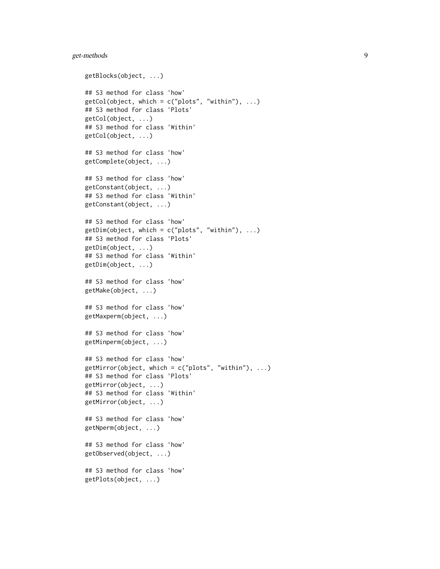# get-methods 9

```
getBlocks(object, ...)
## S3 method for class 'how'
getCol(object, which = c("plots", "within"), ...)## S3 method for class 'Plots'
getCol(object, ...)
## S3 method for class 'Within'
getCol(object, ...)
## S3 method for class 'how'
getComplete(object, ...)
## S3 method for class 'how'
getConstant(object, ...)
## S3 method for class 'Within'
getConstant(object, ...)
## S3 method for class 'how'
getDim(object, which = c("plots", "within"), ...)## S3 method for class 'Plots'
getDim(object, ...)
## S3 method for class 'Within'
getDim(object, ...)
## S3 method for class 'how'
getMake(object, ...)
## S3 method for class 'how'
getMaxperm(object, ...)
## S3 method for class 'how'
getMinperm(object, ...)
## S3 method for class 'how'
getMirror(object, which = c("plots", "within"), ...)## S3 method for class 'Plots'
getMirror(object, ...)
## S3 method for class 'Within'
getMirror(object, ...)
## S3 method for class 'how'
getNperm(object, ...)
## S3 method for class 'how'
getObserved(object, ...)
## S3 method for class 'how'
getPlots(object, ...)
```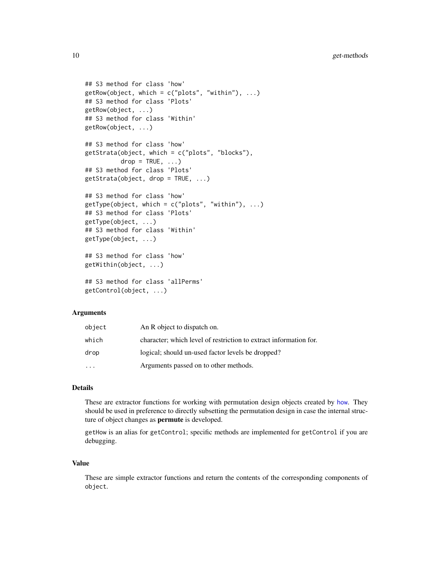```
## S3 method for class 'how'
getRow(object, which = c("plots", "within"), ...)## S3 method for class 'Plots'
getRow(object, ...)
## S3 method for class 'Within'
getRow(object, ...)
## S3 method for class 'how'
getStrata(object, which = c("plots", "blocks"),
         drop = TRUE, ...)## S3 method for class 'Plots'
getStrata(object, drop = TRUE, ...)## S3 method for class 'how'
getType(object, which = c("plots", "within"), ...)
## S3 method for class 'Plots'
getType(object, ...)
## S3 method for class 'Within'
getType(object, ...)
## S3 method for class 'how'
getWithin(object, ...)
## S3 method for class 'allPerms'
getControl(object, ...)
```
# Arguments

| object | An R object to dispatch on.                                       |
|--------|-------------------------------------------------------------------|
| which  | character; which level of restriction to extract information for. |
| drop   | logical; should un-used factor levels be dropped?                 |
|        | Arguments passed on to other methods.                             |

# Details

These are extractor functions for working with permutation design objects created by [how](#page-10-1). They should be used in preference to directly subsetting the permutation design in case the internal structure of object changes as permute is developed.

getHow is an alias for getControl; specific methods are implemented for getControl if you are debugging.

# Value

These are simple extractor functions and return the contents of the corresponding components of object.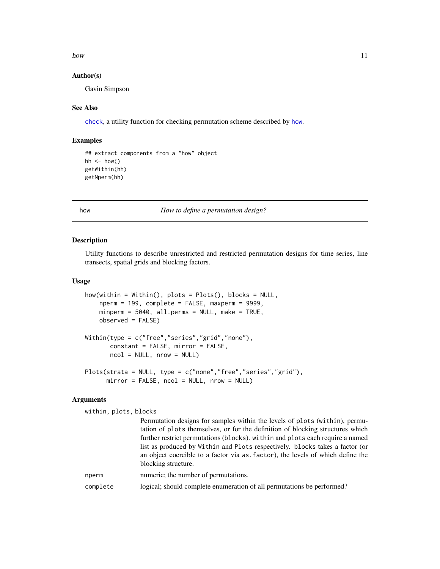<span id="page-10-0"></span>how the contract of the contract of the contract of the contract of the contract of the contract of the contract of the contract of the contract of the contract of the contract of the contract of the contract of the contra

# Author(s)

Gavin Simpson

# See Also

[check](#page-4-2), a utility function for checking permutation scheme described by [how](#page-10-1).

# Examples

```
## extract components from a "how" object
hh \le how()
getWithin(hh)
getNperm(hh)
```
<span id="page-10-1"></span>how *How to define a permutation design?*

### <span id="page-10-2"></span>Description

Utility functions to describe unrestricted and restricted permutation designs for time series, line transects, spatial grids and blocking factors.

# Usage

```
how(within = Within(), plots = Plots(), blocks = NULL,
    nperm = 199, complete = FALSE, maxperm = 9999,
    minperm = 5040, all.perms = NULL, make = TRUE,
    observed = FALSE)
Within(type = c("free","series","grid","none"),
       constant = FALSE, mirror = FALSE,
       ncol = NULL, nrow = NULL)Plots(strata = NULL, type = c("none","free","series","grid"),
      mirror = FALSE, ncol = NULL, nrow = NULL)
```
# Arguments

within, plots, blocks

|          | Permutation designs for samples within the levels of plots (within), permu-<br>tation of plots themselves, or for the definition of blocking structures which<br>further restrict permutations (blocks), within and plots each require a named |
|----------|------------------------------------------------------------------------------------------------------------------------------------------------------------------------------------------------------------------------------------------------|
|          | list as produced by Within and Plots respectively. blocks takes a factor (or<br>an object coercible to a factor via as factor), the levels of which define the<br>blocking structure.                                                          |
| nperm    | numeric; the number of permutations.                                                                                                                                                                                                           |
| complete | logical; should complete enumeration of all permutations be performed?                                                                                                                                                                         |
|          |                                                                                                                                                                                                                                                |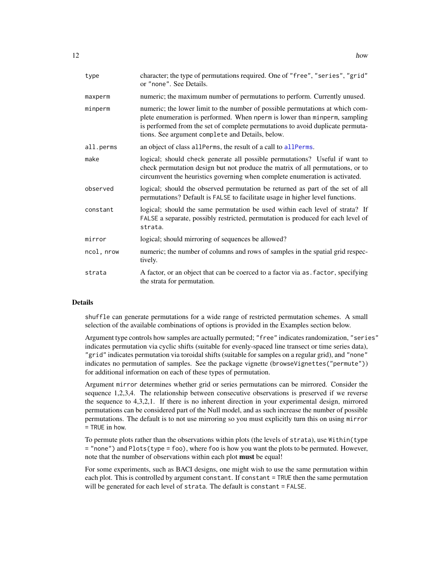<span id="page-11-0"></span>

| type       | character; the type of permutations required. One of "free", "series", "grid"<br>or "none". See Details.                                                                                                                                                                                          |
|------------|---------------------------------------------------------------------------------------------------------------------------------------------------------------------------------------------------------------------------------------------------------------------------------------------------|
| maxperm    | numeric; the maximum number of permutations to perform. Currently unused.                                                                                                                                                                                                                         |
| minperm    | numeric; the lower limit to the number of possible permutations at which com-<br>plete enumeration is performed. When nperm is lower than minperm, sampling<br>is performed from the set of complete permutations to avoid duplicate permuta-<br>tions. See argument complete and Details, below. |
| all.perms  | an object of class all Perms, the result of a call to all Perms.                                                                                                                                                                                                                                  |
| make       | logical; should check generate all possible permutations? Useful if want to<br>check permutation design but not produce the matrix of all permutations, or to<br>circumvent the heuristics governing when complete enumeration is activated.                                                      |
| observed   | logical; should the observed permutation be returned as part of the set of all<br>permutations? Default is FALSE to facilitate usage in higher level functions.                                                                                                                                   |
| constant   | logical; should the same permutation be used within each level of strata? If<br>FALSE a separate, possibly restricted, permutation is produced for each level of<br>strata.                                                                                                                       |
| mirror     | logical; should mirroring of sequences be allowed?                                                                                                                                                                                                                                                |
| ncol, nrow | numeric; the number of columns and rows of samples in the spatial grid respec-<br>tively.                                                                                                                                                                                                         |
| strata     | A factor, or an object that can be coerced to a factor via as . factor, specifying<br>the strata for permutation.                                                                                                                                                                                 |

#### Details

shuffle can generate permutations for a wide range of restricted permutation schemes. A small selection of the available combinations of options is provided in the Examples section below.

Argument type controls how samples are actually permuted; "free" indicates randomization, "series" indicates permutation via cyclic shifts (suitable for evenly-spaced line transect or time series data), "grid" indicates permutation via toroidal shifts (suitable for samples on a regular grid), and "none" indicates no permutation of samples. See the package vignette (browseVignettes("permute")) for additional information on each of these types of permutation.

Argument mirror determines whether grid or series permutations can be mirrored. Consider the sequence 1,2,3,4. The relationship between consecutive observations is preserved if we reverse the sequence to 4,3,2,1. If there is no inherent direction in your experimental design, mirrored permutations can be considered part of the Null model, and as such increase the number of possible permutations. The default is to not use mirroring so you must explicitly turn this on using mirror = TRUE in how.

To permute plots rather than the observations within plots (the levels of strata), use Within(type = "none") and Plots(type = foo), where foo is how you want the plots to be permuted. However, note that the number of observations within each plot **must** be equal!

For some experiments, such as BACI designs, one might wish to use the same permutation within each plot. This is controlled by argument constant. If constant = TRUE then the same permutation will be generated for each level of strata. The default is constant = FALSE.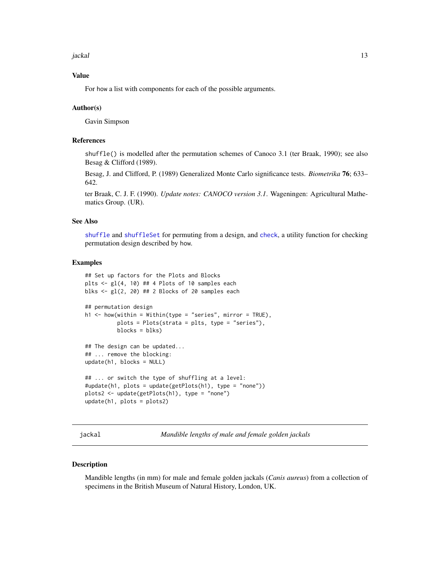<span id="page-12-0"></span>jackal 13

# Value

For how a list with components for each of the possible arguments.

# Author(s)

Gavin Simpson

# References

shuffle() is modelled after the permutation schemes of Canoco 3.1 (ter Braak, 1990); see also Besag & Clifford (1989).

Besag, J. and Clifford, P. (1989) Generalized Monte Carlo significance tests. *Biometrika* 76; 633– 642.

ter Braak, C. J. F. (1990). *Update notes: CANOCO version 3.1*. Wageningen: Agricultural Mathematics Group. (UR).

# See Also

[shuffle](#page-18-1) and [shuffleSet](#page-24-1) for permuting from a design, and [check](#page-4-2), a utility function for checking permutation design described by how.

### Examples

```
## Set up factors for the Plots and Blocks
plts \leftarrow gl(4, 10) ## 4 Plots of 10 samples each
blks \leq gl(2, 20) ## 2 Blocks of 20 samples each
## permutation design
h1 \le -how(within = Within(type = "series", mirror = TRUE),plots = Plots(strata = plts, type = "series"),
          blocks = blks)## The design can be updated...
## ... remove the blocking:
update(h1, blocks = NULL)
## ... or switch the type of shuffling at a level:
#update(h1, plots = update(getPlots(h1), type = "none"))
plots2 <- update(getPlots(h1), type = "none")
update(h1, plots = plots2)
```
jackal *Mandible lengths of male and female golden jackals*

#### Description

Mandible lengths (in mm) for male and female golden jackals (*Canis aureus*) from a collection of specimens in the British Museum of Natural History, London, UK.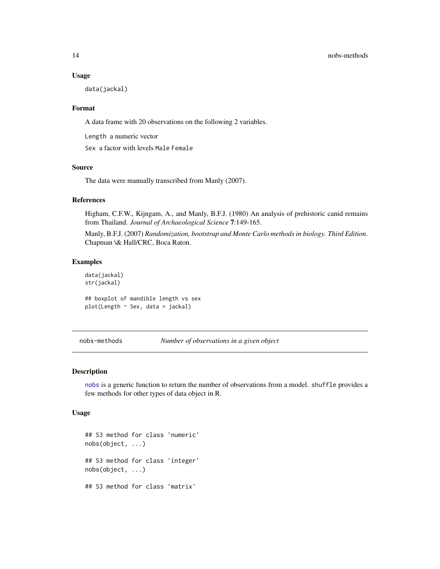#### Usage

data(jackal)

# Format

A data frame with 20 observations on the following 2 variables.

Length a numeric vector

Sex a factor with levels Male Female

# Source

The data were manually transcribed from Manly (2007).

# References

Higham, C.F.W., Kijngam, A., and Manly, B.F.J. (1980) An analysis of prehistoric canid remains from Thailand. *Journal of Archaeological Science* 7:149-165.

Manly, B.F.J. (2007) *Randomization, bootstrap and Monte Carlo methods in biology. Third Edition*. Chapman \& Hall/CRC, Boca Raton.

# Examples

data(jackal) str(jackal)

## boxplot of mandible length vs sex  $plot(Length ~ Sex, data = jack)]$ 

<span id="page-13-1"></span>nobs-methods *Number of observations in a given object*

# Description

[nobs](#page-0-0) is a generic function to return the number of observations from a model. shuffle provides a few methods for other types of data object in R.

#### Usage

## S3 method for class 'numeric' nobs(object, ...) ## S3 method for class 'integer' nobs(object, ...) ## S3 method for class 'matrix'

<span id="page-13-0"></span>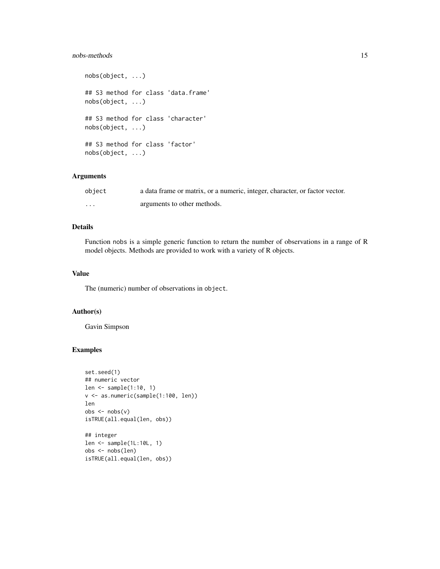# nobs-methods 15

nobs(object, ...) ## S3 method for class 'data.frame' nobs(object, ...) ## S3 method for class 'character' nobs(object, ...) ## S3 method for class 'factor' nobs(object, ...)

# Arguments

| object   | a data frame or matrix, or a numeric, integer, character, or factor vector. |
|----------|-----------------------------------------------------------------------------|
| $\cdots$ | arguments to other methods.                                                 |

# Details

Function nobs is a simple generic function to return the number of observations in a range of R model objects. Methods are provided to work with a variety of R objects.

# Value

The (numeric) number of observations in object.

# Author(s)

Gavin Simpson

# Examples

```
set.seed(1)
## numeric vector
len <- sample(1:10, 1)
v <- as.numeric(sample(1:100, len))
len
obs < -nobs(v)isTRUE(all.equal(len, obs))
## integer
len <- sample(1L:10L, 1)
obs <- nobs(len)
```

```
isTRUE(all.equal(len, obs))
```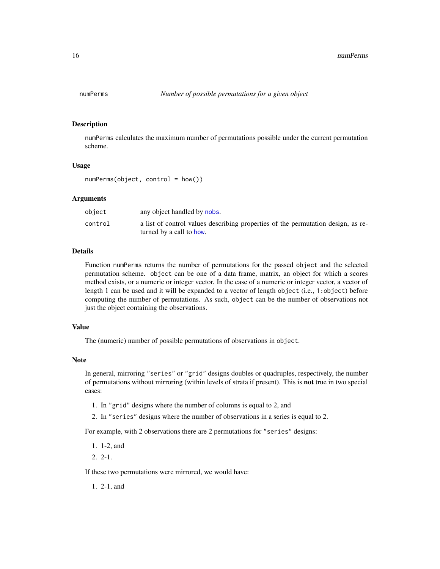<span id="page-15-1"></span><span id="page-15-0"></span>

#### Description

numPerms calculates the maximum number of permutations possible under the current permutation scheme.

# Usage

numPerms(object, control = how())

# Arguments

| object  | any object handled by nobs.                                                      |
|---------|----------------------------------------------------------------------------------|
| control | a list of control values describing properties of the permutation design, as re- |
|         | turned by a call to how.                                                         |

# Details

Function numPerms returns the number of permutations for the passed object and the selected permutation scheme. object can be one of a data frame, matrix, an object for which a scores method exists, or a numeric or integer vector. In the case of a numeric or integer vector, a vector of length 1 can be used and it will be expanded to a vector of length object (i.e., 1:object) before computing the number of permutations. As such, object can be the number of observations not just the object containing the observations.

# Value

The (numeric) number of possible permutations of observations in object.

#### Note

In general, mirroring "series" or "grid" designs doubles or quadruples, respectively, the number of permutations without mirroring (within levels of strata if present). This is not true in two special cases:

- 1. In "grid" designs where the number of columns is equal to 2, and
- 2. In "series" designs where the number of observations in a series is equal to 2.

For example, with 2 observations there are 2 permutations for "series" designs:

- 1. 1-2, and
- 2. 2-1.

If these two permutations were mirrored, we would have:

1. 2-1, and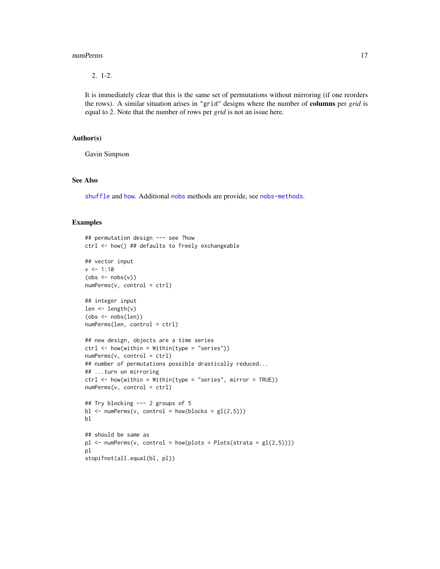#### <span id="page-16-0"></span>numPerms 17

2. 1-2.

It is immediately clear that this is the same set of permutations without mirroring (if one reorders the rows). A similar situation arises in "grid" designs where the number of columns per *grid* is equal to 2. Note that the number of rows per *grid* is not an issue here.

# Author(s)

Gavin Simpson

# See Also

[shuffle](#page-18-1) and [how](#page-10-1). Additional [nobs](#page-0-0) methods are provide, see [nobs-methods](#page-13-1).

#### Examples

```
## permutation design --- see ?how
ctrl <- how() ## defaults to freely exchangeable
## vector input
v <- 1:10
(obs < -nobs(v))numPerms(v, control = ctrl)
## integer input
len <- length(v)
(obs <- nobs(len))
numPerms(len, control = ctrl)
## new design, objects are a time series
ctrl \leftarrow \text{how}(\text{within} = \text{Within}(\text{type} = \text{"series"))numPerms(v, control = ctrl)
## number of permutations possible drastically reduced...
## ...turn on mirroring
ctrl <- how(within = Within(type = "series", mirror = TRUE))
numPerms(v, control = ctrl)
## Try blocking --- 2 groups of 5
bl \leq -\text{numPerms}(v, \text{control} = \text{how}(\text{blocks} = gl(2,5)))bl
## should be same as
p1 \leq -\text{numPerms}(v, \text{ control} = \text{how}( \text{plots} = \text{Plots}(\text{strata} = \text{gl}(2,5))))pl
stopifnot(all.equal(bl, pl))
```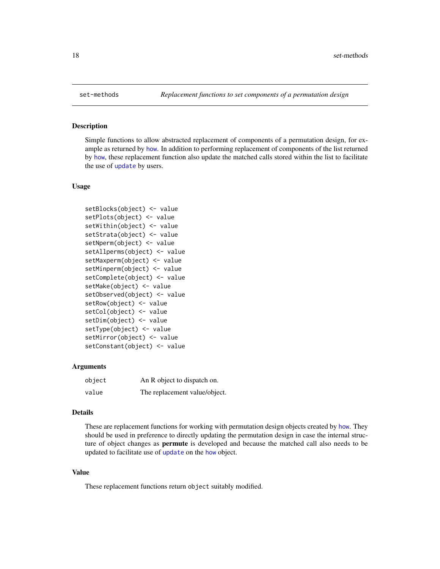# Description

Simple functions to allow abstracted replacement of components of a permutation design, for example as returned by [how](#page-10-1). In addition to performing replacement of components of the list returned by [how](#page-10-1), these replacement function also update the matched calls stored within the list to facilitate the use of [update](#page-0-0) by users.

# Usage

```
setBlocks(object) <- value
setPlots(object) <- value
setWithin(object) <- value
setStrata(object) <- value
setNperm(object) <- value
setAllperms(object) <- value
setMaxperm(object) <- value
setMinperm(object) <- value
setComplete(object) <- value
setMake(object) <- value
setObserved(object) <- value
setRow(object) <- value
setCol(object) <- value
setDim(object) <- value
setType(object) <- value
setMirror(object) <- value
setConstant(object) <- value
```
# Arguments

| object | An R object to dispatch on.   |
|--------|-------------------------------|
| value  | The replacement value/object. |

# Details

These are replacement functions for working with permutation design objects created by [how](#page-10-1). They should be used in preference to directly updating the permutation design in case the internal structure of object changes as **permute** is developed and because the matched call also needs to be [update](#page-0-0)d to facilitate use of update on the [how](#page-10-1) object.

# Value

These replacement functions return object suitably modified.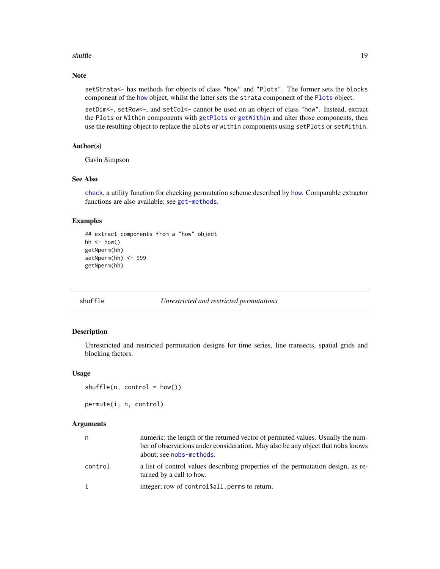# <span id="page-18-0"></span>shuffle that the state of the state of the state of the state of the state of the state of the state of the state of the state of the state of the state of the state of the state of the state of the state of the state of t

# Note

setStrata<- has methods for objects of class "how" and "Plots". The former sets the blocks component of the [how](#page-10-1) object, whilst the latter sets the strata component of the [Plots](#page-10-2) object.

setDim<-, setRow<-, and setCol<- cannot be used on an object of class "how". Instead, extract the Plots or Within components with [getPlots](#page-7-1) or [getWithin](#page-7-1) and alter those components, then use the resulting object to replace the plots or within components using setPlots or setWithin.

# Author(s)

Gavin Simpson

# See Also

[check](#page-4-2), a utility function for checking permutation scheme described by [how](#page-10-1). Comparable extractor functions are also available; see [get-methods](#page-7-2).

# Examples

```
## extract components from a "how" object
hh \le how()
getNperm(hh)
setNperm(hh) <- 999
getNperm(hh)
```
<span id="page-18-1"></span>

#### shuffle *Unrestricted and restricted permutations*

# Description

Unrestricted and restricted permutation designs for time series, line transects, spatial grids and blocking factors.

#### Usage

```
shuffle(n, control = how())
```
permute(i, n, control)

#### Arguments

| n       | numeric; the length of the returned vector of permuted values. Usually the num-<br>ber of observations under consideration. May also be any object that nobs knows<br>about; see nobs-methods. |
|---------|------------------------------------------------------------------------------------------------------------------------------------------------------------------------------------------------|
| control | a list of control values describing properties of the permutation design, as re-<br>turned by a call to how.                                                                                   |
| i       | integer; row of control \$all. perms to return.                                                                                                                                                |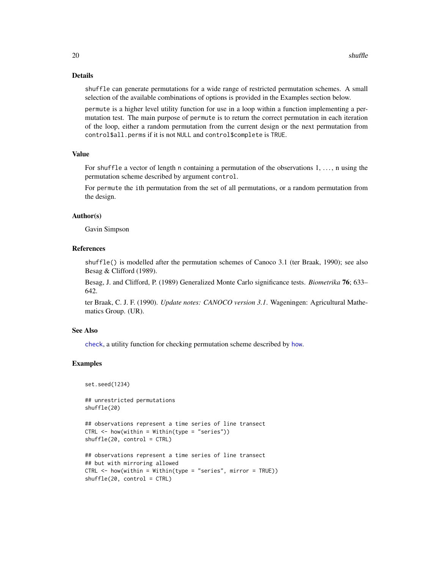# Details

shuffle can generate permutations for a wide range of restricted permutation schemes. A small selection of the available combinations of options is provided in the Examples section below.

permute is a higher level utility function for use in a loop within a function implementing a permutation test. The main purpose of permute is to return the correct permutation in each iteration of the loop, either a random permutation from the current design or the next permutation from control\$all.perms if it is not NULL and control\$complete is TRUE.

# Value

For shuffle a vector of length n containing a permutation of the observations  $1, \ldots$ , n using the permutation scheme described by argument control.

For permute the ith permutation from the set of all permutations, or a random permutation from the design.

#### Author(s)

Gavin Simpson

# References

shuffle() is modelled after the permutation schemes of Canoco 3.1 (ter Braak, 1990); see also Besag & Clifford (1989).

Besag, J. and Clifford, P. (1989) Generalized Monte Carlo significance tests. *Biometrika* 76; 633– 642.

ter Braak, C. J. F. (1990). *Update notes: CANOCO version 3.1*. Wageningen: Agricultural Mathematics Group. (UR).

# See Also

[check](#page-4-2), a utility function for checking permutation scheme described by [how](#page-10-1).

# Examples

```
set.seed(1234)
```
## unrestricted permutations shuffle(20)

```
## observations represent a time series of line transect
CTRL \leq -\hbox{how}(within = Within(type = "series"))
```

```
shuffle(20, control = CTRL)
```

```
## observations represent a time series of line transect
## but with mirroring allowed
CTRL <- how(within = Within(type = "series", mirror = TRUE))
shuffle(20, control = CTRL)
```
<span id="page-19-0"></span>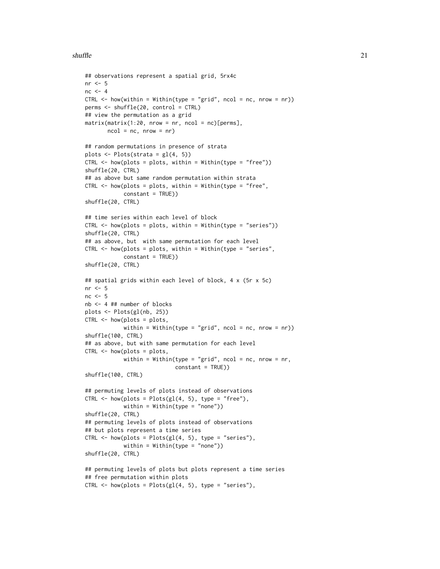```
## observations represent a spatial grid, 5rx4c
nr < - 5nc < -4CTRL \leq how(within = Within(type = "grid", ncol = nc, nrow = nr))
perms <- shuffle(20, control = CTRL)
## view the permutation as a grid
matrix(maxrix(1:20, nrow = nr, ncol = nc)[perms],ncol = nc, nrow = nr)
## random permutations in presence of strata
plots \leq Plots(strata = gl(4, 5))
CTRL <- how(plots = plots, within = Within(type = "free"))
shuffle(20, CTRL)
## as above but same random permutation within strata
CTRL \leq how(plots = plots, within = Within(type = "free",
            constant = TRUE))
shuffle(20, CTRL)
## time series within each level of block
CTRL \leq -\text{how(plots = plots, within = Within(type = "series"))shuffle(20, CTRL)
## as above, but with same permutation for each level
CTRL \leq how(plots = plots, within = Within(type = "series",
            constant = TRUE))
shuffle(20, CTRL)
## spatial grids within each level of block, 4 x (5r x 5c)
nr < - 5nc < -5nb <- 4 ## number of blocks
plots <- Plots(gl(nb, 25))
CTRL \leq -how(plots = plots,within = Within(type = "grid", ncol = nc, nrow = nr))
shuffle(100, CTRL)
## as above, but with same permutation for each level
CTRL <- how(plots = plots,
            within = Within(type = "grid", ncol = nc, nrow = nr,
                            constant = TRUE))
shuffle(100, CTRL)
## permuting levels of plots instead of observations
CTRL \leq how(plots = Plots(gl(4, 5), type = "free"),
            within = Within(type = "none"))
shuffle(20, CTRL)
## permuting levels of plots instead of observations
## but plots represent a time series
CTRL \leq how(plots = Plots(gl(4, 5), type = "series"),
            within = Within(type = "none")shuffle(20, CTRL)
## permuting levels of plots but plots represent a time series
## free permutation within plots
CTRL \leq how(plots = Plots(gl(4, 5), type = "series"),
```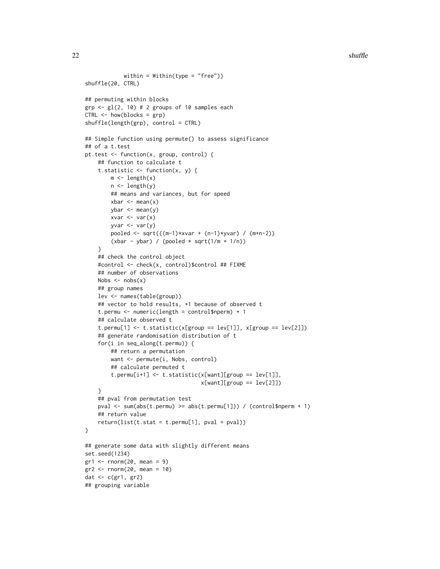```
within = Within(type = "free"))
shuffle(20, CTRL)
## permuting within blocks
grp \leq-gl(2, 10) # 2 groups of 10 samples each
CTRL <- how(blocks = grp)
shuffle(length(grp), control = CTRL)
## Simple function using permute() to assess significance
## of a t.test
pt.test <- function(x, group, control) {
    ## function to calculate t
    t.statistic \leq function(x, y) {
        m \leftarrow length(x)
        n <- length(y)
        ## means and variances, but for speed
        xbar < - mean(x)ybar < - mean(y)xvar \leftarrow var(x)yvar \leftarrow var(y)pooled <- sqrt(((m-1)*xvar + (n-1)*yvar) / (m+n-2))
        (xbar - ybar) / (pooled * sqrt(1/m + 1/n))}
    ## check the control object
    #control <- check(x, control)$control ## FIXME
    ## number of observations
    Nobs \leq nobs(x)## group names
    lev <- names(table(group))
    ## vector to hold results, +1 because of observed t
    t.permu <- numeric(length = control$nperm) + 1
    ## calculate observed t
    t.permu[1] <- t.statistic(x[group == lev[1]], x[group == lev[2]])
    ## generate randomisation distribution of t
    for(i in seq_along(t.permu)) {
        ## return a permutation
        want <- permute(i, Nobs, control)
        ## calculate permuted t
        t.permu[i+1] <- t.statistic(x[want][group == lev[1]],
                                     x[want][group == lev[2]]}
    ## pval from permutation test
    pval <- sum(abs(t.permu) >= abs(t.permu[1])) / (control$nperm + 1)
    ## return value
    return(list(t.stat = t.permu[1], pval = pval))
}
## generate some data with slightly different means
set.seed(1234)
gr1 < -rnorm(20, mean = 9)gr2 < -rnorm(20, mean = 10)dat <- c(gr1, gr2)
## grouping variable
```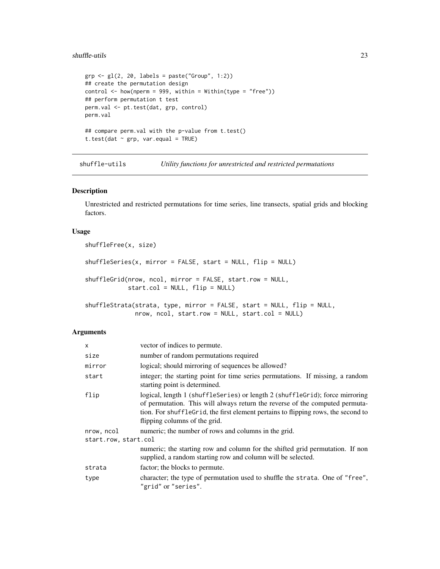# <span id="page-22-0"></span>shuffle-utils 23

```
grp \leftarrow gl(2, 20, labels = paste("Group", 1:2))## create the permutation design
control \leq how(nperm = 999, within = Within(type = "free"))
## perform permutation t test
perm.val <- pt.test(dat, grp, control)
perm.val
## compare perm.val with the p-value from t.test()
t.test(dat \sim grp, var.equal = TRUE)
```
shuffle-utils *Utility functions for unrestricted and restricted permutations*

# Description

Unrestricted and restricted permutations for time series, line transects, spatial grids and blocking factors.

# Usage

```
shuffleFree(x, size)
shuffleSeries(x, mirror = FALSE, start = NULL, flip = NULL)shuffleGrid(nrow, ncol, mirror = FALSE, start.row = NULL,
            start.col = NULL, flip = NULL)
shuffleStrata(strata, type, mirror = FALSE, start = NULL, flip = NULL,
              nrow, ncol, start.row = NULL, start.col = NULL)
```
# Arguments

| $\mathsf{x}$         | vector of indices to permute.                                                                                                                                                                                                                                                      |  |
|----------------------|------------------------------------------------------------------------------------------------------------------------------------------------------------------------------------------------------------------------------------------------------------------------------------|--|
| size                 | number of random permutations required                                                                                                                                                                                                                                             |  |
| mirror               | logical; should mirroring of sequences be allowed?                                                                                                                                                                                                                                 |  |
| start                | integer; the starting point for time series permutations. If missing, a random<br>starting point is determined.                                                                                                                                                                    |  |
| flip                 | logical, length 1 (shuffleseries) or length 2 (shufflegrid); force mirroring<br>of permutation. This will always return the reverse of the computed permuta-<br>tion. For shufflegrid, the first element pertains to flipping rows, the second to<br>flipping columns of the grid. |  |
| nrow, ncol           | numeric; the number of rows and columns in the grid.                                                                                                                                                                                                                               |  |
| start.row, start.col |                                                                                                                                                                                                                                                                                    |  |
|                      | numeric; the starting row and column for the shifted grid permutation. If non<br>supplied, a random starting row and column will be selected.                                                                                                                                      |  |
| strata               | factor; the blocks to permute.                                                                                                                                                                                                                                                     |  |
| type                 | character; the type of permutation used to shuffle the strata. One of "free",<br>"grid" or "series".                                                                                                                                                                               |  |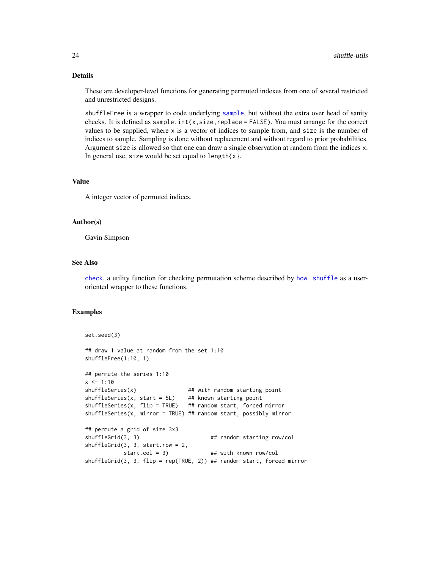# Details

These are developer-level functions for generating permuted indexes from one of several restricted and unrestricted designs.

shuffleFree is a wrapper to code underlying [sample](#page-0-0), but without the extra over head of sanity checks. It is defined as sample.int $(x, size, replace = FALSE)$ . You must arrange for the correct values to be supplied, where x is a vector of indices to sample from, and size is the number of indices to sample. Sampling is done without replacement and without regard to prior probabilities. Argument size is allowed so that one can draw a single observation at random from the indices x. In general use, size would be set equal to length $\{x\}$ .

# Value

A integer vector of permuted indices.

# Author(s)

Gavin Simpson

# See Also

[check](#page-4-2), a utility function for checking permutation scheme described by [how](#page-10-1). [shuffle](#page-18-1) as a useroriented wrapper to these functions.

# Examples

```
set.seed(3)
## draw 1 value at random from the set 1:10
shuffleFree(1:10, 1)
## permute the series 1:10
x \le -1:10shuffleSeries(x) \qquad ## with random starting point
shuffleSeries(x, start = 5L) ## known starting point
shuffleSeries(x, flip = TRUE) ## random start, forced mirror
shuffleSeries(x, mirror = TRUE) ## random start, possibly mirror
## permute a grid of size 3x3
shuffleGrid(3, 3) ## random starting row/col
shuffleGrid(3, 3, start.row = 2,
           start.col = 3) ## with known row/col
shuffleGrid(3, 3, flip = rep(TRUE, 2)) ## random start, forced mirror
```
<span id="page-23-0"></span>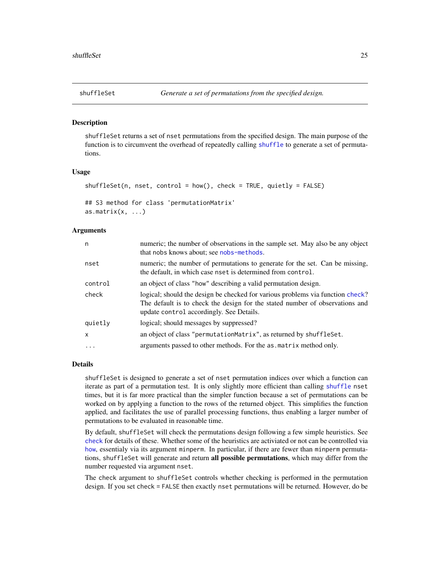<span id="page-24-1"></span><span id="page-24-0"></span>

# Description

shuffleSet returns a set of nset permutations from the specified design. The main purpose of the function is to circumvent the overhead of repeatedly calling [shuffle](#page-18-1) to generate a set of permutations.

#### Usage

```
shuffleSet(n, nset, control = how(), check = TRUE, quietly = FALSE)
```

```
## S3 method for class 'permutationMatrix'
as.matrix(x, \ldots)
```
# Arguments

| n            | numeric; the number of observations in the sample set. May also be any object<br>that nobs knows about; see nobs-methods.                                                                                  |
|--------------|------------------------------------------------------------------------------------------------------------------------------------------------------------------------------------------------------------|
| nset         | numeric; the number of permutations to generate for the set. Can be missing,<br>the default, in which case nset is determined from control.                                                                |
| control      | an object of class "how" describing a valid permutation design.                                                                                                                                            |
| check        | logical; should the design be checked for various problems via function check?<br>The default is to check the design for the stated number of observations and<br>update control accordingly. See Details. |
| quietly      | logical; should messages by suppressed?                                                                                                                                                                    |
| $\mathsf{x}$ | an object of class "permutationMatrix", as returned by shuffleSet.                                                                                                                                         |
| .            | arguments passed to other methods. For the as matrix method only.                                                                                                                                          |

# Details

shuffleSet is designed to generate a set of nset permutation indices over which a function can iterate as part of a permutation test. It is only slightly more efficient than calling [shuffle](#page-18-1) nset times, but it is far more practical than the simpler function because a set of permutations can be worked on by applying a function to the rows of the returned object. This simplifies the function applied, and facilitates the use of parallel processing functions, thus enabling a larger number of permutations to be evaluated in reasonable time.

By default, shuffleSet will check the permutations design following a few simple heuristics. See [check](#page-4-2) for details of these. Whether some of the heuristics are activiated or not can be controlled via [how](#page-10-1), essentialy via its argument minperm. In particular, if there are fewer than minperm permutations, shuffleSet will generate and return all possible permutations, which may differ from the number requested via argument nset.

The check argument to shuffleSet controls whether checking is performed in the permutation design. If you set check = FALSE then exactly nset permutations will be returned. However, do be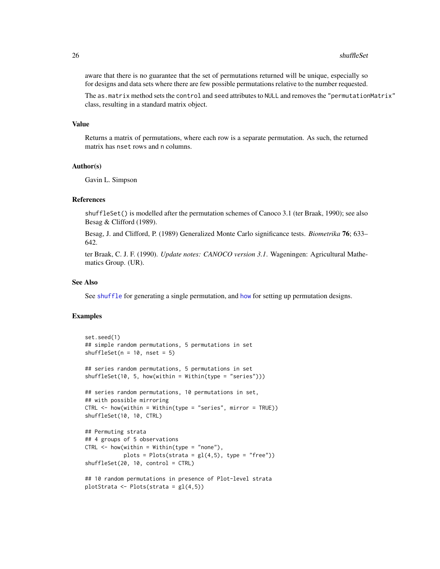<span id="page-25-0"></span>aware that there is no guarantee that the set of permutations returned will be unique, especially so for designs and data sets where there are few possible permutations relative to the number requested.

The as.matrix method sets the control and seed attributes to NULL and removes the "permutationMatrix" class, resulting in a standard matrix object.

### Value

Returns a matrix of permutations, where each row is a separate permutation. As such, the returned matrix has nset rows and n columns.

# Author(s)

Gavin L. Simpson

# References

shuffleSet() is modelled after the permutation schemes of Canoco 3.1 (ter Braak, 1990); see also Besag & Clifford (1989).

Besag, J. and Clifford, P. (1989) Generalized Monte Carlo significance tests. *Biometrika* 76; 633– 642.

ter Braak, C. J. F. (1990). *Update notes: CANOCO version 3.1*. Wageningen: Agricultural Mathematics Group. (UR).

# See Also

See [shuffle](#page-18-1) for generating a single permutation, and [how](#page-10-1) for setting up permutation designs.

# Examples

```
set.seed(1)
## simple random permutations, 5 permutations in set
shuffleSet(n = 10, nset = 5)
## series random permutations, 5 permutations in set
shuffleSet(10, 5, how(within = Within(type = "series")))
## series random permutations, 10 permutations in set,
## with possible mirroring
CTRL \leq -how(within = Within(type = "series", mirror = TRUE))shuffleSet(10, 10, CTRL)
## Permuting strata
## 4 groups of 5 observations
CTRL < - \hbox{how}(within = Within(type = "none"),plots = Plots(strata = gl(4,5), type = "free")shuffleSet(20, 10, control = CTRL)
## 10 random permutations in presence of Plot-level strata
plotStrata <- Plots(strata = gl(4,5))
```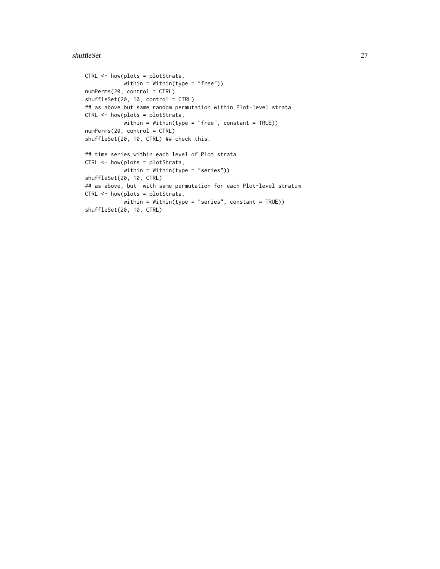#### shuffleSet 27

```
CTRL <- how(plots = plotStrata,
           within = Within(type = "free"))
numPerms(20, control = CTRL)
shuffleSet(20, 10, control = CTRL)
## as above but same random permutation within Plot-level strata
CTRL <- how(plots = plotStrata,
           within = Within(type = "free", constant = TRUE))
numPerms(20, control = CTRL)
shuffleSet(20, 10, CTRL) ## check this.
## time series within each level of Plot strata
CTRL <- how(plots = plotStrata,
            within = Within(type = "series"))
shuffleSet(20, 10, CTRL)
## as above, but with same permutation for each Plot-level stratum
CTRL <- how(plots = plotStrata,
            within = Within(type = "series", constant = TRUE))
shuffleSet(20, 10, CTRL)
```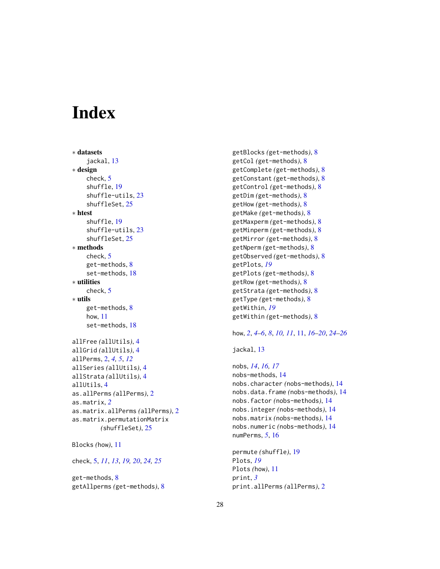# <span id="page-27-0"></span>**Index**

∗ datasets jackal, [13](#page-12-0) ∗ design check, [5](#page-4-0) shuffle, [19](#page-18-0) shuffle-utils, [23](#page-22-0) shuffleSet, [25](#page-24-0) ∗ htest shuffle, [19](#page-18-0) shuffle-utils, [23](#page-22-0) shuffleSet, [25](#page-24-0) ∗ methods check, [5](#page-4-0) get-methods, [8](#page-7-0) set-methods, [18](#page-17-0) ∗ utilities check, [5](#page-4-0) ∗ utils get-methods, [8](#page-7-0) how, [11](#page-10-0) set-methods, [18](#page-17-0) allFree *(*allUtils*)*, [4](#page-3-0) allGrid *(*allUtils*)*, [4](#page-3-0) allPerms, [2,](#page-1-0) *[4,](#page-3-0) [5](#page-4-0)*, *[12](#page-11-0)* allSeries *(*allUtils*)*, [4](#page-3-0) allStrata *(*allUtils*)*, [4](#page-3-0) allUtils, [4](#page-3-0) as.allPerms *(*allPerms*)*, [2](#page-1-0) as.matrix, *[2](#page-1-0)* as.matrix.allPerms *(*allPerms*)*, [2](#page-1-0) as.matrix.permutationMatrix *(*shuffleSet*)*, [25](#page-24-0)

```
Blocks (how), 11
```
check, [5,](#page-4-0) *[11](#page-10-0)*, *[13](#page-12-0)*, *[19,](#page-18-0) [20](#page-19-0)*, *[24,](#page-23-0) [25](#page-24-0)*

get-methods, [8](#page-7-0) getAllperms *(*get-methods*)*, [8](#page-7-0) getBlocks *(*get-methods*)*, [8](#page-7-0) getCol *(*get-methods*)*, [8](#page-7-0) getComplete *(*get-methods*)*, [8](#page-7-0) getConstant *(*get-methods*)*, [8](#page-7-0) getControl *(*get-methods*)*, [8](#page-7-0) getDim *(*get-methods*)*, [8](#page-7-0) getHow *(*get-methods*)*, [8](#page-7-0) getMake *(*get-methods*)*, [8](#page-7-0) getMaxperm *(*get-methods*)*, [8](#page-7-0) getMinperm *(*get-methods*)*, [8](#page-7-0) getMirror *(*get-methods*)*, [8](#page-7-0) getNperm *(*get-methods*)*, [8](#page-7-0) getObserved *(*get-methods*)*, [8](#page-7-0) getPlots, *[19](#page-18-0)* getPlots *(*get-methods*)*, [8](#page-7-0) getRow *(*get-methods*)*, [8](#page-7-0) getStrata *(*get-methods*)*, [8](#page-7-0) getType *(*get-methods*)*, [8](#page-7-0) getWithin, *[19](#page-18-0)* getWithin *(*get-methods*)*, [8](#page-7-0)

how, *[2](#page-1-0)*, *[4–](#page-3-0)[6](#page-5-0)*, *[8](#page-7-0)*, *[10,](#page-9-0) [11](#page-10-0)*, [11,](#page-10-0) *[16](#page-15-0)[–20](#page-19-0)*, *[24](#page-23-0)[–26](#page-25-0)*

jackal, [13](#page-12-0)

nobs, *[14](#page-13-0)*, *[16,](#page-15-0) [17](#page-16-0)* nobs-methods, [14](#page-13-0) nobs.character *(*nobs-methods*)*, [14](#page-13-0) nobs.data.frame *(*nobs-methods*)*, [14](#page-13-0) nobs.factor *(*nobs-methods*)*, [14](#page-13-0) nobs.integer *(*nobs-methods*)*, [14](#page-13-0) nobs.matrix *(*nobs-methods*)*, [14](#page-13-0) nobs.numeric *(*nobs-methods*)*, [14](#page-13-0) numPerms, *[5](#page-4-0)*, [16](#page-15-0)

```
permute (shuffle), 19
Plots, 19
Plots (how), 11
print, 3
print.allPerms (allPerms), 2
```